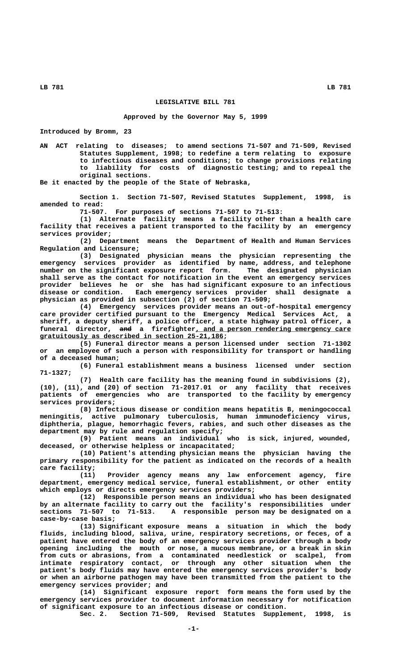## **LEGISLATIVE BILL 781**

## **Approved by the Governor May 5, 1999**

**Introduced by Bromm, 23**

**AN ACT relating to diseases; to amend sections 71-507 and 71-509, Revised Statutes Supplement, 1998; to redefine a term relating to exposure to infectious diseases and conditions; to change provisions relating to liability for costs of diagnostic testing; and to repeal the original sections.**

**Be it enacted by the people of the State of Nebraska,**

**Section 1. Section 71-507, Revised Statutes Supplement, 1998, is amended to read:**

**71-507. For purposes of sections 71-507 to 71-513:**

**(1) Alternate facility means a facility other than a health care facility that receives a patient transported to the facility by an emergency services provider;**

**(2) Department means the Department of Health and Human Services Regulation and Licensure;**

**(3) Designated physician means the physician representing the emergency services provider as identified by name, address, and telephone number on the significant exposure report form. The designated physician shall serve as the contact for notification in the event an emergency services provider believes he or she has had significant exposure to an infectious disease or condition. Each emergency services provider shall designate a physician as provided in subsection (2) of section 71-509;**

**(4) Emergency services provider means an out-of-hospital emergency care provider certified pursuant to the Emergency Medical Services Act, a sheriff, a deputy sheriff, a police officer, a state highway patrol officer, a ——— \_\_\_\_\_\_\_\_\_\_\_\_\_\_\_\_\_\_\_\_\_\_\_\_\_\_\_\_\_\_\_\_\_\_\_\_\_\_\_ funeral director, and a firefighter, and a person rendering emergency care \_\_\_\_\_\_\_\_\_\_\_\_\_\_\_\_\_\_\_\_\_\_\_\_\_\_\_\_\_\_\_\_\_\_\_\_\_\_\_\_\_\_\_\_\_\_ gratuitously as described in section 25-21,186;**

**(5) Funeral director means a person licensed under section 71-1302 or an employee of such a person with responsibility for transport or handling of a deceased human;**

**(6) Funeral establishment means a business licensed under section 71-1327;**

**(7) Health care facility has the meaning found in subdivisions (2), (10), (11), and (20) of section 71-2017.01 or any facility that receives patients of emergencies who are transported to the facility by emergency services providers;**

**(8) Infectious disease or condition means hepatitis B, meningococcal meningitis, active pulmonary tuberculosis, human immunodeficiency virus, diphtheria, plague, hemorrhagic fevers, rabies, and such other diseases as the department may by rule and regulation specify;**

**(9) Patient means an individual who is sick, injured, wounded, deceased, or otherwise helpless or incapacitated;**

**(10) Patient's attending physician means the physician having the primary responsibility for the patient as indicated on the records of a health care facility;**

**(11) Provider agency means any law enforcement agency, fire department, emergency medical service, funeral establishment, or other entity which employs or directs emergency services providers;**

**(12) Responsible person means an individual who has been designated by an alternate facility to carry out the facility's responsibilities under sections 71-507 to 71-513. A responsible person may be designated on a case-by-case basis;**

**(13) Significant exposure means a situation in which the body fluids, including blood, saliva, urine, respiratory secretions, or feces, of a patient have entered the body of an emergency services provider through a body opening including the mouth or nose, a mucous membrane, or a break in skin from cuts or abrasions, from a contaminated needlestick or scalpel, from intimate respiratory contact, or through any other situation when the patient's body fluids may have entered the emergency services provider's body or when an airborne pathogen may have been transmitted from the patient to the emergency services provider; and**

**(14) Significant exposure report form means the form used by the emergency services provider to document information necessary for notification of significant exposure to an infectious disease or condition.**

**Sec. 2. Section 71-509, Revised Statutes Supplement, 1998, is**